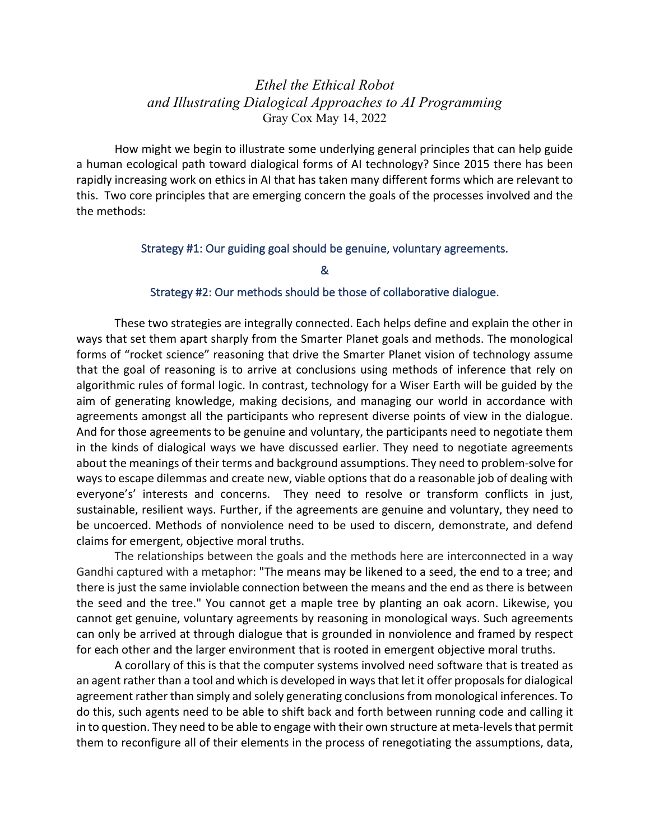## *Ethel the Ethical Robot and Illustrating Dialogical Approaches to AI Programming* Gray Cox May 14, 2022

How might we begin to illustrate some underlying general principles that can help guide a human ecological path toward dialogical forms of AI technology? Since 2015 there has been rapidly increasing work on ethics in AI that has taken many different forms which are relevant to this. Two core principles that are emerging concern the goals of the processes involved and the the methods:

## Strategy #1: Our guiding goal should be genuine, voluntary agreements.

&

## Strategy #2: Our methods should be those of collaborative dialogue.

These two strategies are integrally connected. Each helps define and explain the other in ways that set them apart sharply from the Smarter Planet goals and methods. The monological forms of "rocket science" reasoning that drive the Smarter Planet vision of technology assume that the goal of reasoning is to arrive at conclusions using methods of inference that rely on algorithmic rules of formal logic. In contrast, technology for a Wiser Earth will be guided by the aim of generating knowledge, making decisions, and managing our world in accordance with agreements amongst all the participants who represent diverse points of view in the dialogue. And for those agreements to be genuine and voluntary, the participants need to negotiate them in the kinds of dialogical ways we have discussed earlier. They need to negotiate agreements about the meanings of their terms and background assumptions. They need to problem-solve for ways to escape dilemmas and create new, viable options that do a reasonable job of dealing with everyone's' interests and concerns. They need to resolve or transform conflicts in just, sustainable, resilient ways. Further, if the agreements are genuine and voluntary, they need to be uncoerced. Methods of nonviolence need to be used to discern, demonstrate, and defend claims for emergent, objective moral truths.

The relationships between the goals and the methods here are interconnected in a way Gandhi captured with a metaphor: "The means may be likened to a seed, the end to a tree; and there is just the same inviolable connection between the means and the end as there is between the seed and the tree." You cannot get a maple tree by planting an oak acorn. Likewise, you cannot get genuine, voluntary agreements by reasoning in monological ways. Such agreements can only be arrived at through dialogue that is grounded in nonviolence and framed by respect for each other and the larger environment that is rooted in emergent objective moral truths.

A corollary of this is that the computer systems involved need software that is treated as an agent rather than a tool and which is developed in ways that let it offer proposals for dialogical agreement rather than simply and solely generating conclusions from monological inferences. To do this, such agents need to be able to shift back and forth between running code and calling it in to question. They need to be able to engage with their own structure at meta-levels that permit them to reconfigure all of their elements in the process of renegotiating the assumptions, data,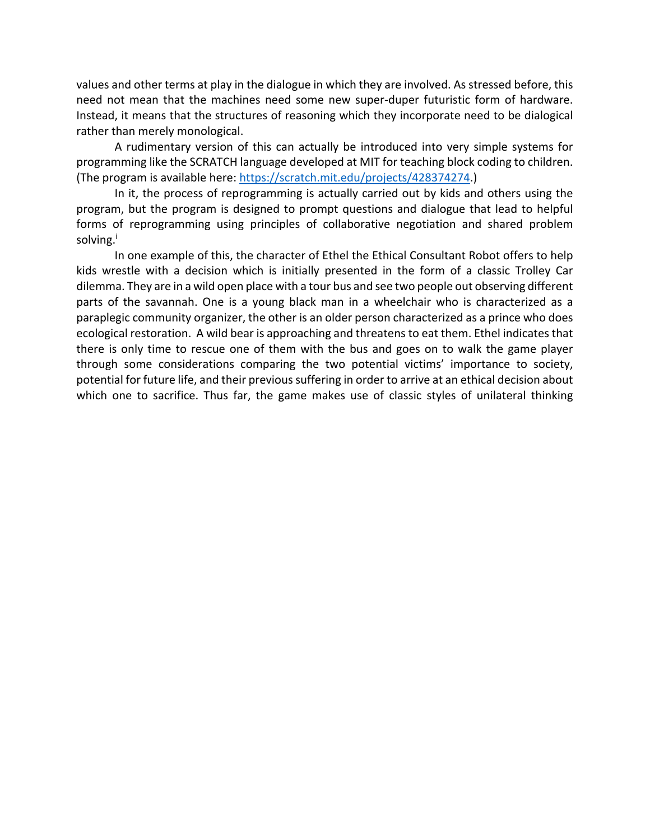values and other terms at play in the dialogue in which they are involved. As stressed before, this need not mean that the machines need some new super-duper futuristic form of hardware. Instead, it means that the structures of reasoning which they incorporate need to be dialogical rather than merely monological.

A rudimentary version of this can actually be introduced into very simple systems for programming like the SCRATCH language developed at MIT for teaching block coding to children. (The program is available here: https://scratch.mit.edu/projects/428374274.)

In it, the process of reprogramming is actually carried out by kids and others using the program, but the program is designed to prompt questions and dialogue that lead to helpful forms of reprogramming using principles of collaborative negotiation and shared problem solving.<sup>i</sup>

In one example of this, the character of Ethel the Ethical Consultant Robot offers to help kids wrestle with a decision which is initially presented in the form of a classic Trolley Car dilemma. They are in a wild open place with a tour bus and see two people out observing different parts of the savannah. One is a young black man in a wheelchair who is characterized as a paraplegic community organizer, the other is an older person characterized as a prince who does ecological restoration. A wild bear is approaching and threatens to eat them. Ethel indicates that there is only time to rescue one of them with the bus and goes on to walk the game player through some considerations comparing the two potential victims' importance to society, potential for future life, and their previous suffering in order to arrive at an ethical decision about which one to sacrifice. Thus far, the game makes use of classic styles of unilateral thinking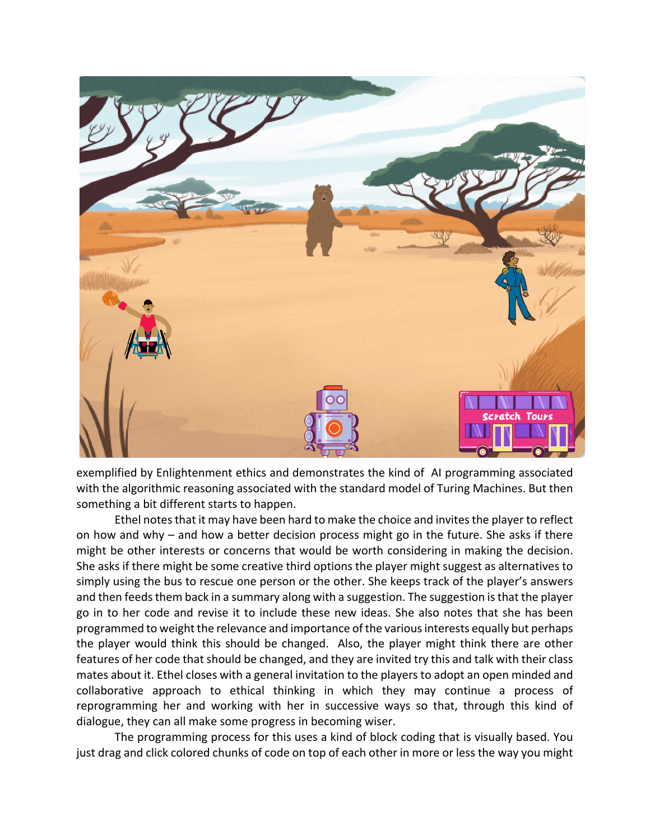

exemplified by Enlightenment ethics and demonstrates the kind of AI programming associated with the algorithmic reasoning associated with the standard model of Turing Machines. But then something a bit different starts to happen.

Ethel notes that it may have been hard to make the choice and invites the player to reflect on how and why – and how a better decision process might go in the future. She asks if there might be other interests or concerns that would be worth considering in making the decision. She asks if there might be some creative third options the player might suggest as alternatives to simply using the bus to rescue one person or the other. She keeps track of the player's answers and then feeds them back in a summary along with a suggestion. The suggestion is that the player go in to her code and revise it to include these new ideas. She also notes that she has been programmed to weight the relevance and importance of the various interests equally but perhaps the player would think this should be changed. Also, the player might think there are other features of her code that should be changed, and they are invited try this and talk with their class mates about it. Ethel closes with a general invitation to the players to adopt an open minded and collaborative approach to ethical thinking in which they may continue a process of reprogramming her and working with her in successive ways so that, through this kind of dialogue, they can all make some progress in becoming wiser.

The programming process for this uses a kind of block coding that is visually based. You just drag and click colored chunks of code on top of each other in more or less the way you might